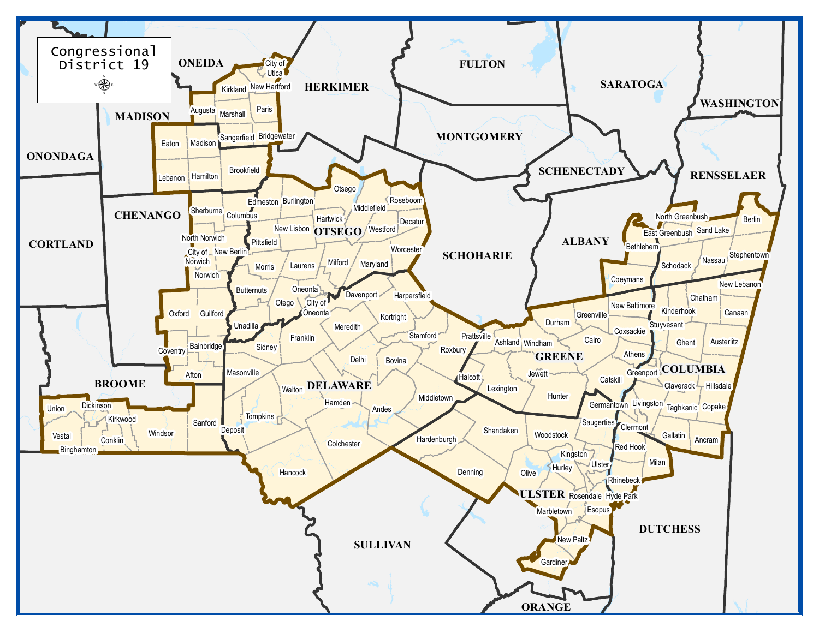